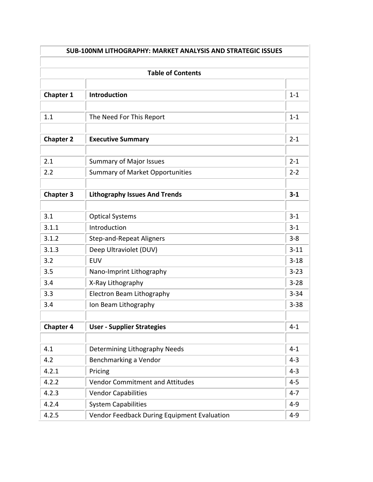| <b>SUB-100NM LITHOGRAPHY: MARKET ANALYSIS AND STRATEGIC ISSUES</b> |                                             |          |  |  |
|--------------------------------------------------------------------|---------------------------------------------|----------|--|--|
|                                                                    |                                             |          |  |  |
| <b>Chapter 1</b>                                                   | <b>Introduction</b>                         | $1 - 1$  |  |  |
| 1.1                                                                | The Need For This Report                    | $1 - 1$  |  |  |
| <b>Chapter 2</b>                                                   | <b>Executive Summary</b>                    | $2 - 1$  |  |  |
| 2.1                                                                | <b>Summary of Major Issues</b>              | $2 - 1$  |  |  |
| 2.2                                                                | <b>Summary of Market Opportunities</b>      | $2 - 2$  |  |  |
| <b>Chapter 3</b>                                                   | <b>Lithography Issues And Trends</b>        | $3 - 1$  |  |  |
| 3.1                                                                | <b>Optical Systems</b>                      | $3 - 1$  |  |  |
| 3.1.1                                                              | Introduction                                | $3 - 1$  |  |  |
| 3.1.2                                                              | <b>Step-and-Repeat Aligners</b>             | $3 - 8$  |  |  |
| 3.1.3                                                              | Deep Ultraviolet (DUV)                      | $3 - 11$ |  |  |
| 3.2                                                                | <b>EUV</b>                                  | $3 - 18$ |  |  |
| 3.5                                                                | Nano-Imprint Lithography                    | $3 - 23$ |  |  |
| 3.4                                                                | X-Ray Lithography                           | $3 - 28$ |  |  |
| 3.3                                                                | Electron Beam Lithography                   | $3 - 34$ |  |  |
| 3.4                                                                | Ion Beam Lithography                        | $3 - 38$ |  |  |
| <b>Chapter 4</b>                                                   | <b>User - Supplier Strategies</b>           | $4 - 1$  |  |  |
|                                                                    |                                             |          |  |  |
| 4.1                                                                | Determining Lithography Needs               | $4 - 1$  |  |  |
| 4.2                                                                | Benchmarking a Vendor                       | $4 - 3$  |  |  |
| 4.2.1                                                              | Pricing                                     | $4 - 3$  |  |  |
| 4.2.2                                                              | <b>Vendor Commitment and Attitudes</b>      | $4 - 5$  |  |  |
| 4.2.3                                                              | <b>Vendor Capabilities</b>                  | $4 - 7$  |  |  |
| 4.2.4                                                              | <b>System Capabilities</b>                  | $4 - 9$  |  |  |
| 4.2.5                                                              | Vendor Feedback During Equipment Evaluation | $4 - 9$  |  |  |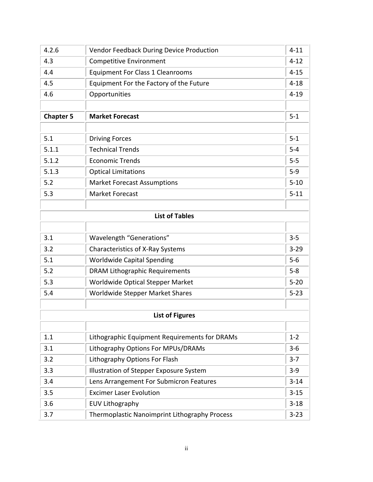| 4.2.6            | <b>Vendor Feedback During Device Production</b> | $4 - 11$ |  |  |
|------------------|-------------------------------------------------|----------|--|--|
| 4.3              | <b>Competitive Environment</b>                  | $4 - 12$ |  |  |
| 4.4              | <b>Equipment For Class 1 Cleanrooms</b>         | $4 - 15$ |  |  |
| 4.5              | Equipment For the Factory of the Future         | $4 - 18$ |  |  |
| 4.6              | Opportunities                                   | $4 - 19$ |  |  |
|                  |                                                 |          |  |  |
| <b>Chapter 5</b> | <b>Market Forecast</b>                          | $5-1$    |  |  |
|                  |                                                 |          |  |  |
| 5.1              | <b>Driving Forces</b>                           | $5 - 1$  |  |  |
| 5.1.1            | <b>Technical Trends</b>                         | $5-4$    |  |  |
| 5.1.2            | <b>Economic Trends</b>                          | $5-5$    |  |  |
| 5.1.3            | <b>Optical Limitations</b>                      | $5-9$    |  |  |
| 5.2              | <b>Market Forecast Assumptions</b>              | $5 - 10$ |  |  |
| 5.3              | <b>Market Forecast</b>                          | $5 - 11$ |  |  |
|                  | <b>List of Tables</b>                           |          |  |  |
|                  |                                                 |          |  |  |
| 3.1              | Wavelength "Generations"                        | $3 - 5$  |  |  |
| 3.2              | <b>Characteristics of X-Ray Systems</b>         | $3 - 29$ |  |  |
| 5.1              | <b>Worldwide Capital Spending</b>               | $5-6$    |  |  |
| 5.2              | <b>DRAM Lithographic Requirements</b>           | $5 - 8$  |  |  |
| 5.3              | Worldwide Optical Stepper Market                | $5 - 20$ |  |  |
| 5.4              | Worldwide Stepper Market Shares                 | $5 - 23$ |  |  |
|                  |                                                 |          |  |  |
|                  | <b>List of Figures</b>                          |          |  |  |
| 1.1              | Lithographic Equipment Requirements for DRAMs   | $1 - 2$  |  |  |
| 3.1              | Lithography Options For MPUs/DRAMs              | $3 - 6$  |  |  |
| 3.2              | Lithography Options For Flash                   | $3 - 7$  |  |  |
| 3.3              | Illustration of Stepper Exposure System         | $3-9$    |  |  |
| 3.4              | Lens Arrangement For Submicron Features         | $3 - 14$ |  |  |
| 3.5              | <b>Excimer Laser Evolution</b>                  | $3 - 15$ |  |  |
| 3.6              | <b>EUV Lithography</b>                          | $3 - 18$ |  |  |
| 3.7              | Thermoplastic Nanoimprint Lithography Process   | $3 - 23$ |  |  |